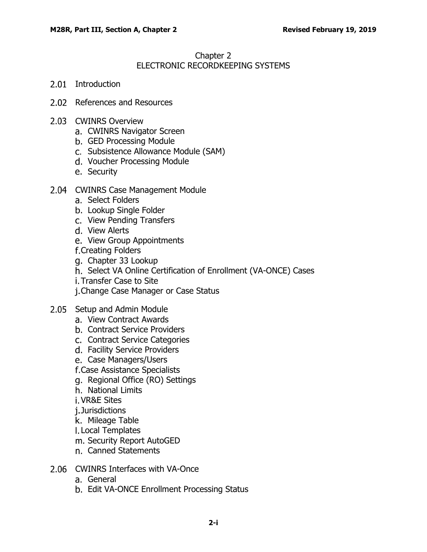# Chapter 2 ELECTRONIC RECORDKEEPING SYSTEMS

- 2.01 [Introduction](#page-2-0)
- 2.02 [References and Resources](#page-2-1)
- 2.03 [CWINRS Overview](#page-2-2)
	- a. [CWINRS Navigator Screen](#page-3-0)
	- [GED Processing Module](#page-3-1)
	- c. [Subsistence Allowance Module \(SAM\)](#page-4-0)
	- d. [Voucher Processing Module](#page-4-1)
	- e. [Security](#page-4-2)
- 2.04 [CWINRS Case Management Module](#page-5-0)
	- a. [Select Folders](#page-6-0)
	- b. [Lookup Single Folder](#page-6-1)
	- c. [View Pending Transfers](#page-6-2)
	- d. [View Alerts](#page-7-0)
	- e. [View Group Appointments](#page-7-1)

f. [Creating Folders](#page-7-2)

- g. [Chapter 33 Lookup](#page-8-0)
- h. [Select VA Online Certification of Enrollment \(VA-ONCE\) Cases](#page-8-1)
- i. [Transfer Case to Site](#page-8-2)
- j. [Change Case Manager or Case Status](#page-8-3)
- 2.05 [Setup and Admin Module](#page-8-4)
	- a. [View Contract Awards](#page-9-0)
	- b. [Contract Service Providers](#page-9-1)
	- c. [Contract Service Categories](#page-10-0)
	- d. [Facility Service Providers](#page-10-1)
	- e. [Case Managers/Users](#page-10-2)
	- [Case Assistance Specialists](#page-11-0)
	- g. [Regional Office \(RO\) Settings](#page-11-1)
	- h. [National Limits](#page-12-0)
	- [VR&E Sites](#page-12-1)
	- j.[Jurisdictions](#page-12-2)
	- k. [Mileage Table](#page-12-3)
	- [Local Templates](#page-13-0)
	- m. [Security Report AutoGED](#page-13-1)
	- [Canned Statements](#page-13-2)
- 2.06 [CWINRS Interfaces with VA-Once](#page-13-3)
	- a. [General](#page-13-4)
	- b. [Edit VA-ONCE Enrollment Processing Status](#page-14-0)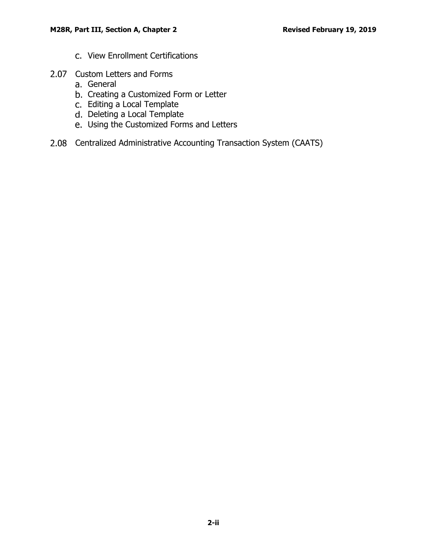- c. [View Enrollment Certifications](#page-14-1)
- 2.07 [Custom Letters and Forms](#page-16-0)
	- a. [General](#page-16-1)
	- b. [Creating a Customized Form or Letter](#page-16-2)
	- c. [Editing a Local Template](#page-17-0)
	- d. [Deleting a Local Template](#page-17-1)
	- [Using the Customized Forms and Letters](#page-17-2)
- 2.08 [Centralized Administrative Accounting Transaction System \(CAATS\)](#page-17-3)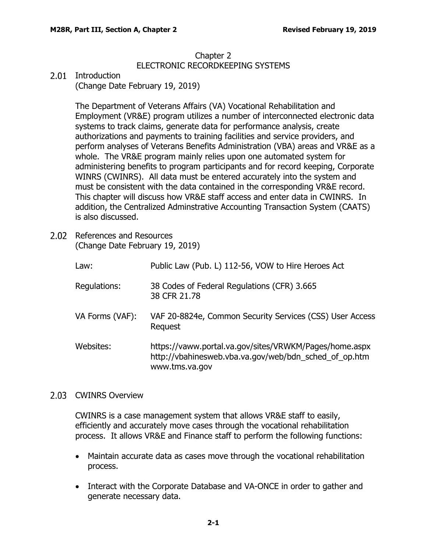## Chapter 2 ELECTRONIC RECORDKEEPING SYSTEMS

# <span id="page-2-0"></span>2.01 Introduction

(Change Date February 19, 2019)

The Department of Veterans Affairs (VA) Vocational Rehabilitation and Employment (VR&E) program utilizes a number of interconnected electronic data systems to track claims, generate data for performance analysis, create authorizations and payments to training facilities and service providers, and perform analyses of Veterans Benefits Administration (VBA) areas and VR&E as a whole. The VR&E program mainly relies upon one automated system for administering benefits to program participants and for record keeping, Corporate WINRS (CWINRS). All data must be entered accurately into the system and must be consistent with the data contained in the corresponding VR&E record. This chapter will discuss how VR&E staff access and enter data in CWINRS. In addition, the Centralized Adminstrative Accounting Transaction System (CAATS) is also discussed.

<span id="page-2-1"></span>2.02 References and Resources (Change Date February 19, 2019)

| Law:            | Public Law (Pub. L) 112-56, VOW to Hire Heroes Act                                                                                |
|-----------------|-----------------------------------------------------------------------------------------------------------------------------------|
| Regulations:    | 38 Codes of Federal Regulations (CFR) 3.665<br>38 CFR 21.78                                                                       |
| VA Forms (VAF): | VAF 20-8824e, Common Security Services (CSS) User Access<br>Request                                                               |
| Websites:       | https://vaww.portal.va.gov/sites/VRWKM/Pages/home.aspx<br>http://vbahinesweb.vba.va.gov/web/bdn_sched_of_op.htm<br>www.tms.va.gov |

## <span id="page-2-2"></span>2.03 CWINRS Overview

CWINRS is a case management system that allows VR&E staff to easily, efficiently and accurately move cases through the vocational rehabilitation process. It allows VR&E and Finance staff to perform the following functions:

- Maintain accurate data as cases move through the vocational rehabilitation process.
- Interact with the Corporate Database and VA-ONCE in order to gather and generate necessary data.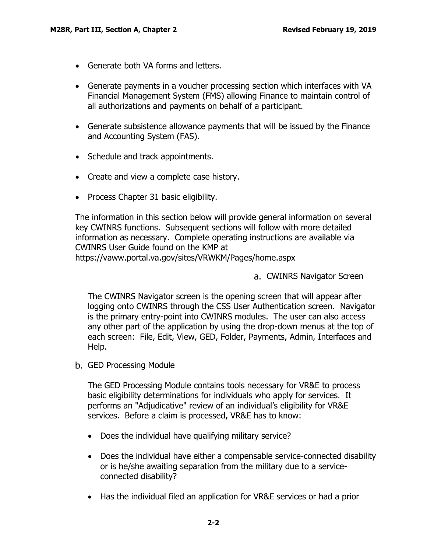- Generate both VA forms and letters.
- Generate payments in a voucher processing section which interfaces with VA Financial Management System (FMS) allowing Finance to maintain control of all authorizations and payments on behalf of a participant.
- Generate subsistence allowance payments that will be issued by the Finance and Accounting System (FAS).
- Schedule and track appointments.
- Create and view a complete case history.
- Process Chapter 31 basic eligibility.

The information in this section below will provide general information on several key CWINRS functions. Subsequent sections will follow with more detailed information as necessary. Complete operating instructions are available via CWINRS User Guide found on the KMP at

<span id="page-3-0"></span>https://vaww.portal.va.gov/sites/VRWKM/Pages/home.aspx

a. CWINRS Navigator Screen

The CWINRS Navigator screen is the opening screen that will appear after logging onto CWINRS through the CSS User Authentication screen. Navigator is the primary entry-point into CWINRS modules. The user can also access any other part of the application by using the drop-down menus at the top of each screen: File, Edit, View, GED, Folder, Payments, Admin, Interfaces and Help.

<span id="page-3-1"></span>GED Processing Module

The GED Processing Module contains tools necessary for VR&E to process basic eligibility determinations for individuals who apply for services. It performs an "Adjudicative" review of an individual's eligibility for VR&E services. Before a claim is processed, VR&E has to know:

- Does the individual have qualifying military service?
- Does the individual have either a compensable service-connected disability or is he/she awaiting separation from the military due to a serviceconnected disability?
- Has the individual filed an application for VR&E services or had a prior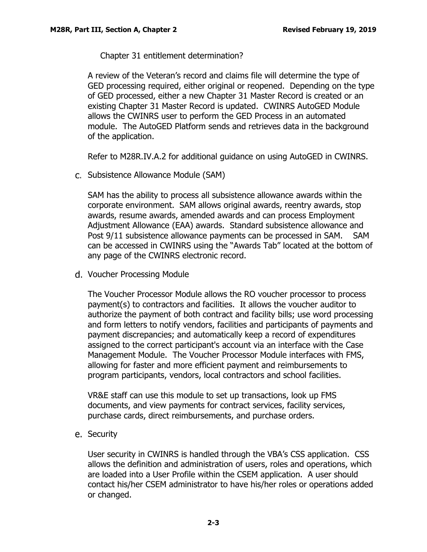Chapter 31 entitlement determination?

A review of the Veteran's record and claims file will determine the type of GED processing required, either original or reopened. Depending on the type of GED processed, either a new Chapter 31 Master Record is created or an existing Chapter 31 Master Record is updated. CWINRS AutoGED Module allows the CWINRS user to perform the GED Process in an automated module. The AutoGED Platform sends and retrieves data in the background of the application.

Refer to M28R.IV.A.2 for additional guidance on using AutoGED in CWINRS.

<span id="page-4-0"></span>c. Subsistence Allowance Module (SAM)

SAM has the ability to process all subsistence allowance awards within the corporate environment. SAM allows original awards, reentry awards, stop awards, resume awards, amended awards and can process Employment Adjustment Allowance (EAA) awards. Standard subsistence allowance and Post 9/11 subsistence allowance payments can be processed in SAM. SAM can be accessed in CWINRS using the "Awards Tab" located at the bottom of any page of the CWINRS electronic record.

<span id="page-4-1"></span>d. Voucher Processing Module

The Voucher Processor Module allows the RO voucher processor to process payment(s) to contractors and facilities. It allows the voucher auditor to authorize the payment of both contract and facility bills; use word processing and form letters to notify vendors, facilities and participants of payments and payment discrepancies; and automatically keep a record of expenditures assigned to the correct participant's account via an interface with the Case Management Module. The Voucher Processor Module interfaces with FMS, allowing for faster and more efficient payment and reimbursements to program participants, vendors, local contractors and school facilities.

VR&E staff can use this module to set up transactions, look up FMS documents, and view payments for contract services, facility services, purchase cards, direct reimbursements, and purchase orders.

<span id="page-4-2"></span>e. Security

User security in CWINRS is handled through the VBA's CSS application. CSS allows the definition and administration of users, roles and operations, which are loaded into a User Profile within the CSEM application. A user should contact his/her CSEM administrator to have his/her roles or operations added or changed.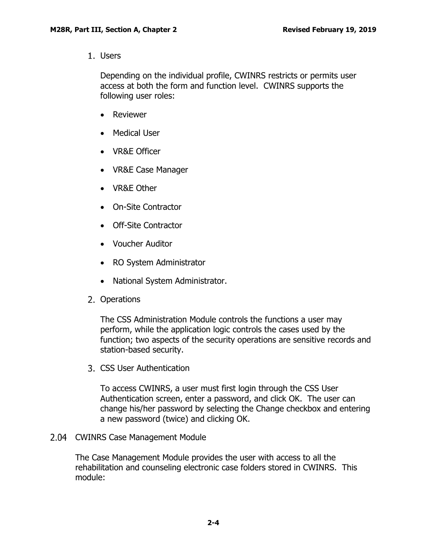1. Users

Depending on the individual profile, CWINRS restricts or permits user access at both the form and function level. CWINRS supports the following user roles:

- Reviewer
- Medical User
- VR&E Officer
- VR&E Case Manager
- VR&E Other
- On-Site Contractor
- Off-Site Contractor
- Voucher Auditor
- RO System Administrator
- National System Administrator.
- 2. Operations

The CSS Administration Module controls the functions a user may perform, while the application logic controls the cases used by the function; two aspects of the security operations are sensitive records and station-based security.

CSS User Authentication

To access CWINRS, a user must first login through the CSS User Authentication screen, enter a password, and click OK. The user can change his/her password by selecting the Change checkbox and entering a new password (twice) and clicking OK.

<span id="page-5-0"></span>2.04 CWINRS Case Management Module

The Case Management Module provides the user with access to all the rehabilitation and counseling electronic case folders stored in CWINRS. This module: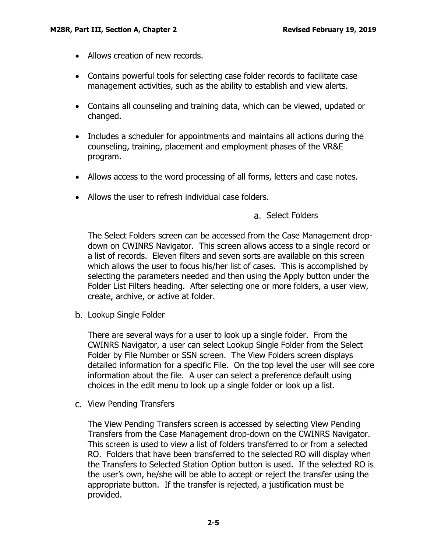- Allows creation of new records.
- Contains powerful tools for selecting case folder records to facilitate case management activities, such as the ability to establish and view alerts.
- Contains all counseling and training data, which can be viewed, updated or changed.
- Includes a scheduler for appointments and maintains all actions during the counseling, training, placement and employment phases of the VR&E program.
- Allows access to the word processing of all forms, letters and case notes.
- <span id="page-6-0"></span>• Allows the user to refresh individual case folders.

## Select Folders

The Select Folders screen can be accessed from the Case Management dropdown on CWINRS Navigator. This screen allows access to a single record or a list of records. Eleven filters and seven sorts are available on this screen which allows the user to focus his/her list of cases. This is accomplished by selecting the parameters needed and then using the Apply button under the Folder List Filters heading. After selecting one or more folders, a user view, create, archive, or active at folder.

<span id="page-6-1"></span>b. Lookup Single Folder

There are several ways for a user to look up a single folder. From the CWINRS Navigator, a user can select Lookup Single Folder from the Select Folder by File Number or SSN screen. The View Folders screen displays detailed information for a specific File. On the top level the user will see core information about the file. A user can select a preference default using choices in the edit menu to look up a single folder or look up a list.

<span id="page-6-2"></span>c. View Pending Transfers

The View Pending Transfers screen is accessed by selecting View Pending Transfers from the Case Management drop-down on the CWINRS Navigator. This screen is used to view a list of folders transferred to or from a selected RO. Folders that have been transferred to the selected RO will display when the Transfers to Selected Station Option button is used. If the selected RO is the user's own, he/she will be able to accept or reject the transfer using the appropriate button. If the transfer is rejected, a justification must be provided.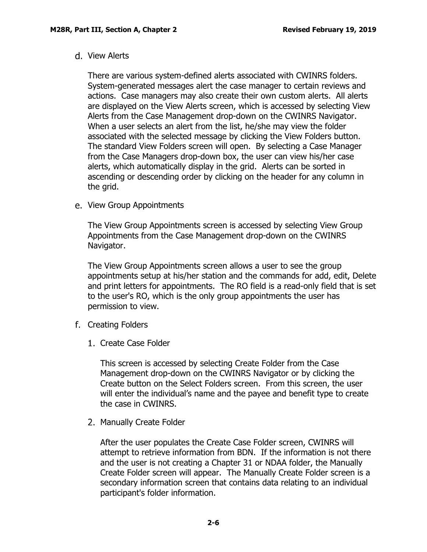#### <span id="page-7-0"></span>d. View Alerts

There are various system-defined alerts associated with CWINRS folders. System-generated messages alert the case manager to certain reviews and actions. Case managers may also create their own custom alerts. All alerts are displayed on the View Alerts screen, which is accessed by selecting View Alerts from the Case Management drop-down on the CWINRS Navigator. When a user selects an alert from the list, he/she may view the folder associated with the selected message by clicking the View Folders button. The standard View Folders screen will open. By selecting a Case Manager from the Case Managers drop-down box, the user can view his/her case alerts, which automatically display in the grid. Alerts can be sorted in ascending or descending order by clicking on the header for any column in the grid.

<span id="page-7-1"></span>e. View Group Appointments

The View Group Appointments screen is accessed by selecting View Group Appointments from the Case Management drop-down on the CWINRS Navigator.

The View Group Appointments screen allows a user to see the group appointments setup at his/her station and the commands for add, edit, Delete and print letters for appointments. The RO field is a read-only field that is set to the user's RO, which is the only group appointments the user has permission to view.

- <span id="page-7-2"></span>f. Creating Folders
	- 1. Create Case Folder

This screen is accessed by selecting Create Folder from the Case Management drop-down on the CWINRS Navigator or by clicking the Create button on the Select Folders screen. From this screen, the user will enter the individual's name and the payee and benefit type to create the case in CWINRS.

2. Manually Create Folder

After the user populates the Create Case Folder screen, CWINRS will attempt to retrieve information from BDN. If the information is not there and the user is not creating a Chapter 31 or NDAA folder, the Manually Create Folder screen will appear. The Manually Create Folder screen is a secondary information screen that contains data relating to an individual participant's folder information.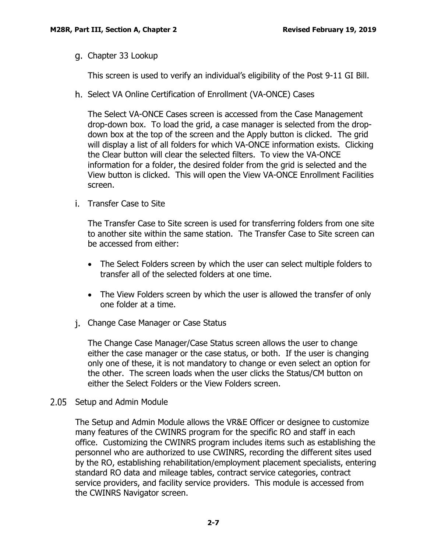<span id="page-8-0"></span>g. Chapter 33 Lookup

This screen is used to verify an individual's eligibility of the Post 9-11 GI Bill.

<span id="page-8-1"></span>h. Select VA Online Certification of Enrollment (VA-ONCE) Cases

The Select VA-ONCE Cases screen is accessed from the Case Management drop-down box. To load the grid, a case manager is selected from the dropdown box at the top of the screen and the Apply button is clicked. The grid will display a list of all folders for which VA-ONCE information exists. Clicking the Clear button will clear the selected filters. To view the VA-ONCE information for a folder, the desired folder from the grid is selected and the View button is clicked. This will open the View VA-ONCE Enrollment Facilities screen.

<span id="page-8-2"></span>i. Transfer Case to Site

The Transfer Case to Site screen is used for transferring folders from one site to another site within the same station. The Transfer Case to Site screen can be accessed from either:

- The Select Folders screen by which the user can select multiple folders to transfer all of the selected folders at one time.
- The View Folders screen by which the user is allowed the transfer of only one folder at a time.
- <span id="page-8-3"></span>j. Change Case Manager or Case Status

The Change Case Manager/Case Status screen allows the user to change either the case manager or the case status, or both. If the user is changing only one of these, it is not mandatory to change or even select an option for the other. The screen loads when the user clicks the Status/CM button on either the Select Folders or the View Folders screen.

<span id="page-8-4"></span>2.05 Setup and Admin Module

The Setup and Admin Module allows the VR&E Officer or designee to customize many features of the CWINRS program for the specific RO and staff in each office. Customizing the CWINRS program includes items such as establishing the personnel who are authorized to use CWINRS, recording the different sites used by the RO, establishing rehabilitation/employment placement specialists, entering standard RO data and mileage tables, contract service categories, contract service providers, and facility service providers. This module is accessed from the CWINRS Navigator screen.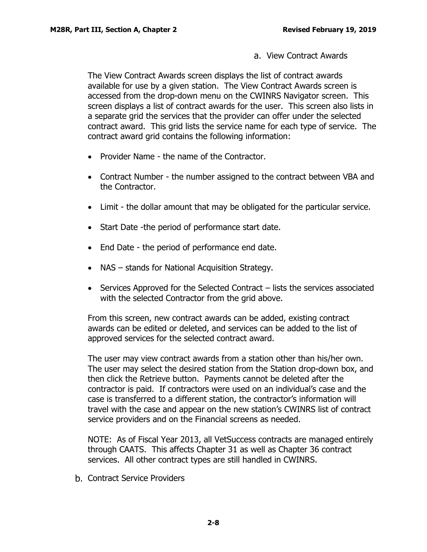View Contract Awards

<span id="page-9-0"></span>The View Contract Awards screen displays the list of contract awards available for use by a given station. The View Contract Awards screen is accessed from the drop-down menu on the CWINRS Navigator screen. This screen displays a list of contract awards for the user. This screen also lists in a separate grid the services that the provider can offer under the selected contract award. This grid lists the service name for each type of service. The contract award grid contains the following information:

- Provider Name the name of the Contractor.
- Contract Number the number assigned to the contract between VBA and the Contractor.
- Limit the dollar amount that may be obligated for the particular service.
- Start Date -the period of performance start date.
- End Date the period of performance end date.
- NAS stands for National Acquisition Strategy.
- Services Approved for the Selected Contract lists the services associated with the selected Contractor from the grid above.

From this screen, new contract awards can be added, existing contract awards can be edited or deleted, and services can be added to the list of approved services for the selected contract award.

The user may view contract awards from a station other than his/her own. The user may select the desired station from the Station drop-down box, and then click the Retrieve button. Payments cannot be deleted after the contractor is paid. If contractors were used on an individual's case and the case is transferred to a different station, the contractor's information will travel with the case and appear on the new station's CWINRS list of contract service providers and on the Financial screens as needed.

NOTE: As of Fiscal Year 2013, all VetSuccess contracts are managed entirely through CAATS. This affects Chapter 31 as well as Chapter 36 contract services. All other contract types are still handled in CWINRS.

<span id="page-9-1"></span>b. Contract Service Providers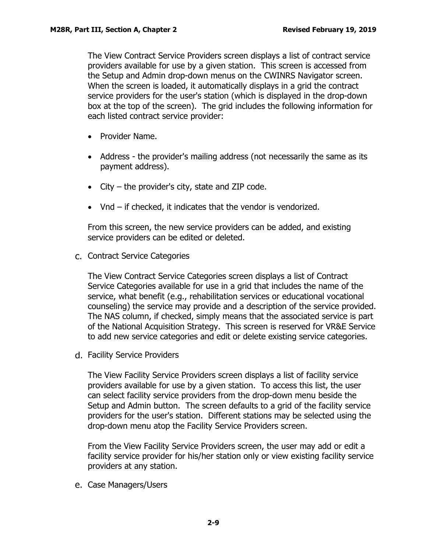The View Contract Service Providers screen displays a list of contract service providers available for use by a given station. This screen is accessed from the Setup and Admin drop-down menus on the CWINRS Navigator screen. When the screen is loaded, it automatically displays in a grid the contract service providers for the user's station (which is displayed in the drop-down box at the top of the screen). The grid includes the following information for each listed contract service provider:

- Provider Name.
- Address the provider's mailing address (not necessarily the same as its payment address).
- City the provider's city, state and ZIP code.
- Vnd if checked, it indicates that the vendor is vendorized.

From this screen, the new service providers can be added, and existing service providers can be edited or deleted.

<span id="page-10-0"></span>c. Contract Service Categories

The View Contract Service Categories screen displays a list of Contract Service Categories available for use in a grid that includes the name of the service, what benefit (e.g., rehabilitation services or educational vocational counseling) the service may provide and a description of the service provided. The NAS column, if checked, simply means that the associated service is part of the National Acquisition Strategy. This screen is reserved for VR&E Service to add new service categories and edit or delete existing service categories.

<span id="page-10-1"></span>d. Facility Service Providers

The View Facility Service Providers screen displays a list of facility service providers available for use by a given station. To access this list, the user can select facility service providers from the drop-down menu beside the Setup and Admin button. The screen defaults to a grid of the facility service providers for the user's station. Different stations may be selected using the drop-down menu atop the Facility Service Providers screen.

From the View Facility Service Providers screen, the user may add or edit a facility service provider for his/her station only or view existing facility service providers at any station.

<span id="page-10-2"></span>e. Case Managers/Users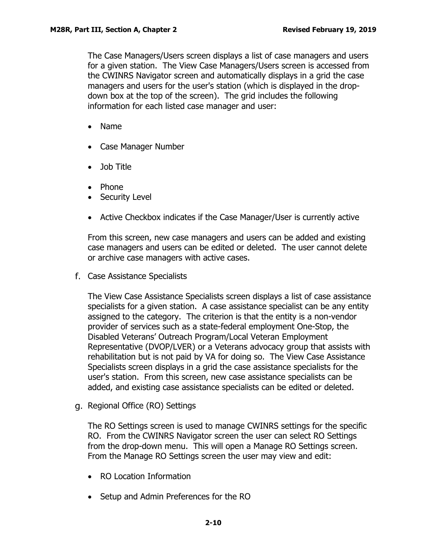The Case Managers/Users screen displays a list of case managers and users for a given station. The View Case Managers/Users screen is accessed from the CWINRS Navigator screen and automatically displays in a grid the case managers and users for the user's station (which is displayed in the dropdown box at the top of the screen). The grid includes the following information for each listed case manager and user:

- Name
- Case Manager Number
- Job Title
- Phone
- Security Level
- Active Checkbox indicates if the Case Manager/User is currently active

From this screen, new case managers and users can be added and existing case managers and users can be edited or deleted. The user cannot delete or archive case managers with active cases.

<span id="page-11-0"></span>f. Case Assistance Specialists

The View Case Assistance Specialists screen displays a list of case assistance specialists for a given station. A case assistance specialist can be any entity assigned to the category. The criterion is that the entity is a non-vendor provider of services such as a state-federal employment One-Stop, the Disabled Veterans' Outreach Program/Local Veteran Employment Representative (DVOP/LVER) or a Veterans advocacy group that assists with rehabilitation but is not paid by VA for doing so. The View Case Assistance Specialists screen displays in a grid the case assistance specialists for the user's station. From this screen, new case assistance specialists can be added, and existing case assistance specialists can be edited or deleted.

<span id="page-11-1"></span>g. Regional Office (RO) Settings

The RO Settings screen is used to manage CWINRS settings for the specific RO. From the CWINRS Navigator screen the user can select RO Settings from the drop-down menu. This will open a Manage RO Settings screen. From the Manage RO Settings screen the user may view and edit:

- RO Location Information
- Setup and Admin Preferences for the RO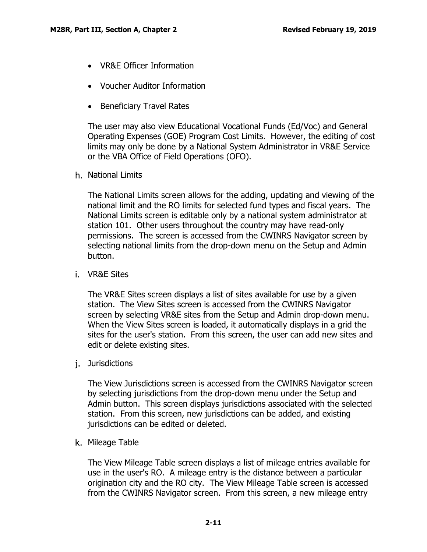- VR&E Officer Information
- Voucher Auditor Information
- Beneficiary Travel Rates

The user may also view Educational Vocational Funds (Ed/Voc) and General Operating Expenses (GOE) Program Cost Limits. However, the editing of cost limits may only be done by a National System Administrator in VR&E Service or the VBA Office of Field Operations (OFO).

<span id="page-12-0"></span>h. National Limits

The National Limits screen allows for the adding, updating and viewing of the national limit and the RO limits for selected fund types and fiscal years. The National Limits screen is editable only by a national system administrator at station 101. Other users throughout the country may have read-only permissions. The screen is accessed from the CWINRS Navigator screen by selecting national limits from the drop-down menu on the Setup and Admin button.

<span id="page-12-1"></span>VR&E Sites

The VR&E Sites screen displays a list of sites available for use by a given station. The View Sites screen is accessed from the CWINRS Navigator screen by selecting VR&E sites from the Setup and Admin drop-down menu. When the View Sites screen is loaded, it automatically displays in a grid the sites for the user's station. From this screen, the user can add new sites and edit or delete existing sites.

<span id="page-12-2"></span>j. Jurisdictions

The View Jurisdictions screen is accessed from the CWINRS Navigator screen by selecting jurisdictions from the drop-down menu under the Setup and Admin button. This screen displays jurisdictions associated with the selected station. From this screen, new jurisdictions can be added, and existing jurisdictions can be edited or deleted.

<span id="page-12-3"></span>k. Mileage Table

The View Mileage Table screen displays a list of mileage entries available for use in the user's RO. A mileage entry is the distance between a particular origination city and the RO city. The View Mileage Table screen is accessed from the CWINRS Navigator screen. From this screen, a new mileage entry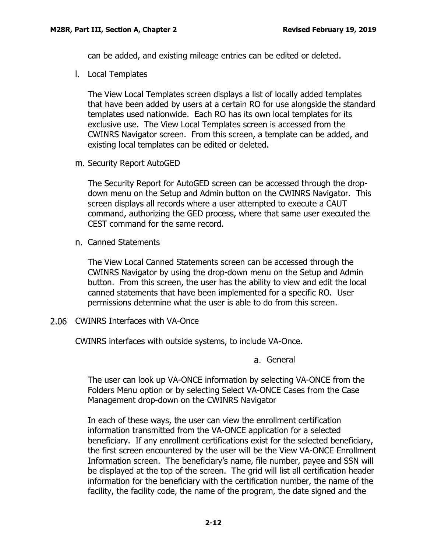can be added, and existing mileage entries can be edited or deleted.

<span id="page-13-0"></span>Local Templates

The View Local Templates screen displays a list of locally added templates that have been added by users at a certain RO for use alongside the standard templates used nationwide. Each RO has its own local templates for its exclusive use. The View Local Templates screen is accessed from the CWINRS Navigator screen. From this screen, a template can be added, and existing local templates can be edited or deleted.

<span id="page-13-1"></span>m. Security Report AutoGED

The Security Report for AutoGED screen can be accessed through the dropdown menu on the Setup and Admin button on the CWINRS Navigator. This screen displays all records where a user attempted to execute a CAUT command, authorizing the GED process, where that same user executed the CEST command for the same record.

<span id="page-13-2"></span>Canned Statements

The View Local Canned Statements screen can be accessed through the CWINRS Navigator by using the drop-down menu on the Setup and Admin button. From this screen, the user has the ability to view and edit the local canned statements that have been implemented for a specific RO. User permissions determine what the user is able to do from this screen.

<span id="page-13-3"></span>2.06 CWINRS Interfaces with VA-Once

<span id="page-13-4"></span>CWINRS interfaces with outside systems, to include VA-Once.

a. General

The user can look up VA-ONCE information by selecting VA-ONCE from the Folders Menu option or by selecting Select VA-ONCE Cases from the Case Management drop-down on the CWINRS Navigator

In each of these ways, the user can view the enrollment certification information transmitted from the VA-ONCE application for a selected beneficiary. If any enrollment certifications exist for the selected beneficiary, the first screen encountered by the user will be the View VA-ONCE Enrollment Information screen. The beneficiary's name, file number, payee and SSN will be displayed at the top of the screen. The grid will list all certification header information for the beneficiary with the certification number, the name of the facility, the facility code, the name of the program, the date signed and the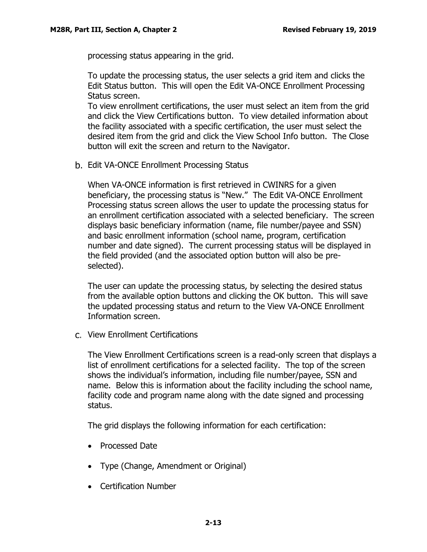processing status appearing in the grid.

To update the processing status, the user selects a grid item and clicks the Edit Status button. This will open the Edit VA-ONCE Enrollment Processing Status screen.

To view enrollment certifications, the user must select an item from the grid and click the View Certifications button. To view detailed information about the facility associated with a specific certification, the user must select the desired item from the grid and click the View School Info button. The Close button will exit the screen and return to the Navigator.

<span id="page-14-0"></span>b. Edit VA-ONCE Enrollment Processing Status

When VA-ONCE information is first retrieved in CWINRS for a given beneficiary, the processing status is "New." The Edit VA-ONCE Enrollment Processing status screen allows the user to update the processing status for an enrollment certification associated with a selected beneficiary. The screen displays basic beneficiary information (name, file number/payee and SSN) and basic enrollment information (school name, program, certification number and date signed). The current processing status will be displayed in the field provided (and the associated option button will also be preselected).

The user can update the processing status, by selecting the desired status from the available option buttons and clicking the OK button. This will save the updated processing status and return to the View VA-ONCE Enrollment Information screen.

<span id="page-14-1"></span>View Enrollment Certifications

The View Enrollment Certifications screen is a read-only screen that displays a list of enrollment certifications for a selected facility. The top of the screen shows the individual's information, including file number/payee, SSN and name. Below this is information about the facility including the school name, facility code and program name along with the date signed and processing status.

The grid displays the following information for each certification:

- Processed Date
- Type (Change, Amendment or Original)
- Certification Number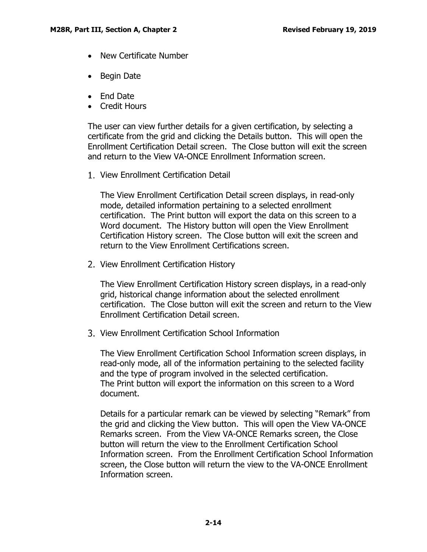- New Certificate Number
- Begin Date
- End Date
- Credit Hours

The user can view further details for a given certification, by selecting a certificate from the grid and clicking the Details button. This will open the Enrollment Certification Detail screen. The Close button will exit the screen and return to the View VA-ONCE Enrollment Information screen.

1. View Enrollment Certification Detail

The View Enrollment Certification Detail screen displays, in read-only mode, detailed information pertaining to a selected enrollment certification. The Print button will export the data on this screen to a Word document. The History button will open the View Enrollment Certification History screen. The Close button will exit the screen and return to the View Enrollment Certifications screen.

2. View Enrollment Certification History

The View Enrollment Certification History screen displays, in a read-only grid, historical change information about the selected enrollment certification. The Close button will exit the screen and return to the View Enrollment Certification Detail screen.

View Enrollment Certification School Information

The View Enrollment Certification School Information screen displays, in read-only mode, all of the information pertaining to the selected facility and the type of program involved in the selected certification. The Print button will export the information on this screen to a Word document.

Details for a particular remark can be viewed by selecting "Remark" from the grid and clicking the View button. This will open the View VA-ONCE Remarks screen. From the View VA-ONCE Remarks screen, the Close button will return the view to the Enrollment Certification School Information screen. From the Enrollment Certification School Information screen, the Close button will return the view to the VA-ONCE Enrollment Information screen.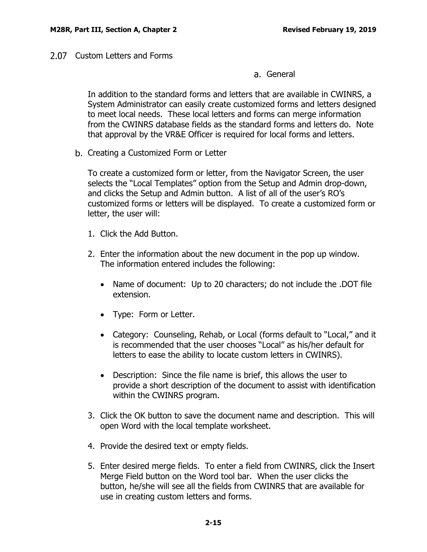<span id="page-16-1"></span><span id="page-16-0"></span>2.07 Custom Letters and Forms

General

In addition to the standard forms and letters that are available in CWINRS, a System Administrator can easily create customized forms and letters designed to meet local needs. These local letters and forms can merge information from the CWINRS database fields as the standard forms and letters do. Note that approval by the VR&E Officer is required for local forms and letters.

<span id="page-16-2"></span>b. Creating a Customized Form or Letter

To create a customized form or letter, from the Navigator Screen, the user selects the "Local Templates" option from the Setup and Admin drop-down, and clicks the Setup and Admin button. A list of all of the user's RO's customized forms or letters will be displayed. To create a customized form or letter, the user will:

- 1. Click the Add Button.
- 2. Enter the information about the new document in the pop up window. The information entered includes the following:
	- Name of document: Up to 20 characters; do not include the .DOT file extension.
	- Type: Form or Letter.
	- Category: Counseling, Rehab, or Local (forms default to "Local," and it is recommended that the user chooses "Local" as his/her default for letters to ease the ability to locate custom letters in CWINRS).
	- Description: Since the file name is brief, this allows the user to provide a short description of the document to assist with identification within the CWINRS program.
- 3. Click the OK button to save the document name and description. This will open Word with the local template worksheet.
- 4. Provide the desired text or empty fields.
- 5. Enter desired merge fields. To enter a field from CWINRS, click the Insert Merge Field button on the Word tool bar. When the user clicks the button, he/she will see all the fields from CWINRS that are available for use in creating custom letters and forms.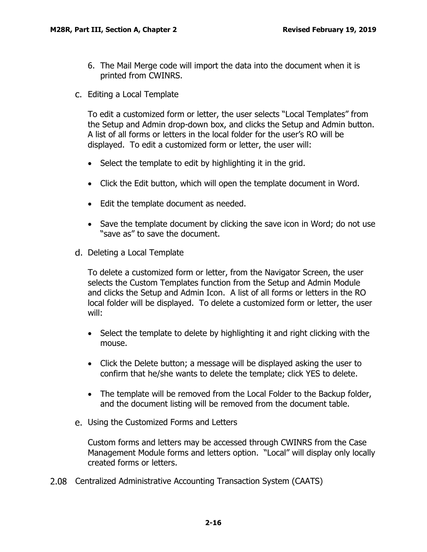- 6. The Mail Merge code will import the data into the document when it is printed from CWINRS.
- <span id="page-17-0"></span>Editing a Local Template

To edit a customized form or letter, the user selects "Local Templates" from the Setup and Admin drop-down box, and clicks the Setup and Admin button. A list of all forms or letters in the local folder for the user's RO will be displayed. To edit a customized form or letter, the user will:

- Select the template to edit by highlighting it in the grid.
- Click the Edit button, which will open the template document in Word.
- Edit the template document as needed.
- Save the template document by clicking the save icon in Word; do not use "save as" to save the document.
- <span id="page-17-1"></span>d. Deleting a Local Template

To delete a customized form or letter, from the Navigator Screen, the user selects the Custom Templates function from the Setup and Admin Module and clicks the Setup and Admin Icon. A list of all forms or letters in the RO local folder will be displayed. To delete a customized form or letter, the user will:

- Select the template to delete by highlighting it and right clicking with the mouse.
- Click the Delete button; a message will be displayed asking the user to confirm that he/she wants to delete the template; click YES to delete.
- The template will be removed from the Local Folder to the Backup folder, and the document listing will be removed from the document table.
- <span id="page-17-2"></span>Using the Customized Forms and Letters

Custom forms and letters may be accessed through CWINRS from the Case Management Module forms and letters option. "Local" will display only locally created forms or letters.

<span id="page-17-3"></span>Centralized Administrative Accounting Transaction System (CAATS)